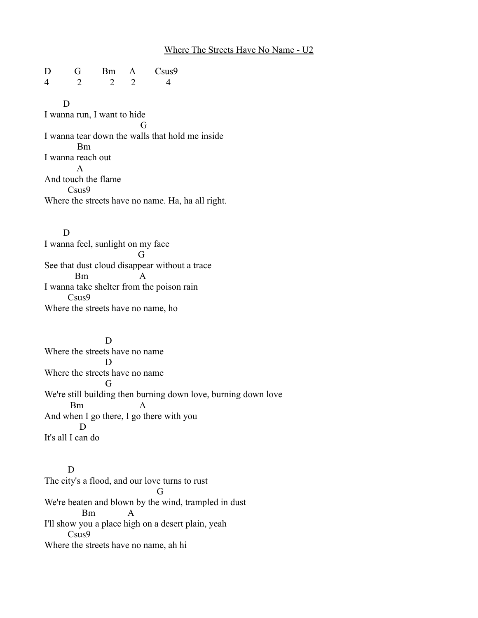## Where The Streets Have No Name - U2

D G Bm A Csus9 4 2 2 2 4

 D I wanna run, I want to hide G I wanna tear down the walls that hold me inside Bm I wanna reach out A And touch the flame Csus9 Where the streets have no name. Ha, ha all right.

 D I wanna feel, sunlight on my face G See that dust cloud disappear without a trace  $Bm$ I wanna take shelter from the poison rain Csus9 Where the streets have no name, ho

 D Where the streets have no name D Where the streets have no name G We're still building then burning down love, burning down love Bm A And when I go there, I go there with you D It's all I can do

 D The city's a flood, and our love turns to rust G We're beaten and blown by the wind, trampled in dust Bm A I'll show you a place high on a desert plain, yeah Csus9 Where the streets have no name, ah hi